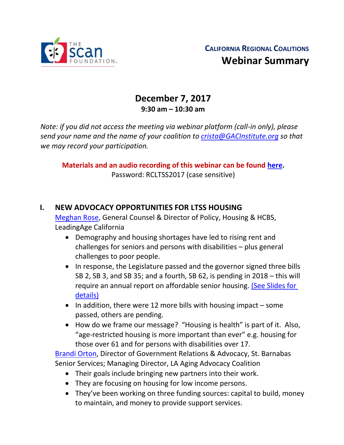

# **December 7, 2017 9:30 am – 10:30 am**

*Note: if you did not access the meeting via webinar platform (call-in only), please send your name and the name of your coalition to [crista@GACInstitute.org](mailto:crista@GACInstitute.org) so that we may record your participation.* 

**Materials and an audio recording of this webinar can be found [here.](http://www.ccltss.org/regional-coalition-meeting-materials/)** Password: RCLTSS2017 (case sensitive)

#### **I. NEW ADVOCACY OPPORTUNITIES FOR LTSS HOUSING**

[Meghan Rose,](mailto:mrose@leadingageca.org) General Counsel & Director of Policy, Housing & HCBS, LeadingAge California

- Demography and housing shortages have led to rising rent and challenges for seniors and persons with disabilities – plus general challenges to poor people.
- In response, the Legislature passed and the governor signed three bills SB 2, SB 3, and SB 35; and a fourth, SB 62, is pending in 2018 – this will require an annual report on affordable senior housing. (See Slides for [details\)](http://www.ccltss.org/cc-content-wp/uploads/2016/10/RC_Dec-2017_Slide-Deck_FINAL.pdf)
- In addition, there were 12 more bills with housing impact some passed, others are pending.
- How do we frame our message? "Housing is health" is part of it. Also, "age-restricted housing is more important than ever" e.g. housing for those over 61 and for persons with disabilities over 17.

[Brandi Orton,](mailto:borton@sbssla.org) Director of Government Relations & Advocacy, St. Barnabas Senior Services; Managing Director, LA Aging Advocacy Coalition

- Their goals include bringing new partners into their work.
- They are focusing on housing for low income persons.
- They've been working on three funding sources: capital to build, money to maintain, and money to provide support services.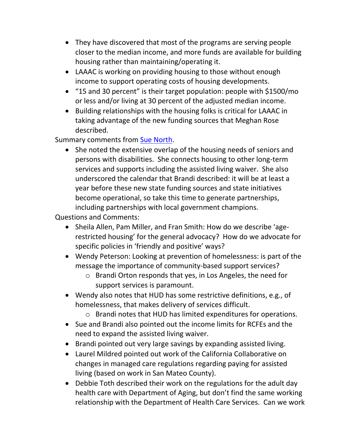- They have discovered that most of the programs are serving people closer to the median income, and more funds are available for building housing rather than maintaining/operating it.
- LAAAC is working on providing housing to those without enough income to support operating costs of housing developments.
- "15 and 30 percent" is their target population: people with \$1500/mo or less and/or living at 30 percent of the adjusted median income.
- Building relationships with the housing folks is critical for LAAAC in taking advantage of the new funding sources that Meghan Rose described.

Summary comments from [Sue North.](mailto:snorthca@gmail.com)

• She noted the extensive overlap of the housing needs of seniors and persons with disabilities. She connects housing to other long-term services and supports including the assisted living waiver. She also underscored the calendar that Brandi described: it will be at least a year before these new state funding sources and state initiatives become operational, so take this time to generate partnerships, including partnerships with local government champions.

Questions and Comments:

- Sheila Allen, Pam Miller, and Fran Smith: How do we describe 'agerestricted housing' for the general advocacy? How do we advocate for specific policies in 'friendly and positive' ways?
- Wendy Peterson: Looking at prevention of homelessness: is part of the message the importance of community-based support services?
	- o Brandi Orton responds that yes, in Los Angeles, the need for support services is paramount.
- Wendy also notes that HUD has some restrictive definitions, e.g., of homelessness, that makes delivery of services difficult.
	- o Brandi notes that HUD has limited expenditures for operations.
- Sue and Brandi also pointed out the income limits for RCFEs and the need to expand the assisted living waiver.
- Brandi pointed out very large savings by expanding assisted living.
- Laurel Mildred pointed out work of the California Collaborative on changes in managed care regulations regarding paying for assisted living (based on work in San Mateo County).
- Debbie Toth described their work on the regulations for the adult day health care with Department of Aging, but don't find the same working relationship with the Department of Health Care Services. Can we work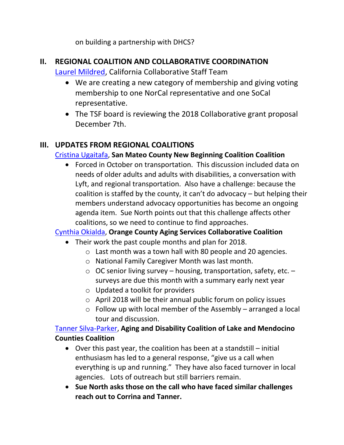on building a partnership with DHCS?

### **II. REGIONAL COALITION AND COLLABORATIVE COORDINATION**

#### [Laurel Mildred,](mailto:laurel.mildred@mildredconsulting.com) California Collaborative Staff Team

- We are creating a new category of membership and giving voting membership to one NorCal representative and one SoCal representative.
- The TSF board is reviewing the 2018 Collaborative grant proposal December 7th.

## **III. UPDATES FROM REGIONAL COALITIONS**

### [Cristina Ugaitafa,](mailto:CUgaitafa@smcgov.org) **San Mateo County New Beginning Coalition Coalition**

• Forced in October on transportation. This discussion included data on needs of older adults and adults with disabilities, a conversation with Lyft, and regional transportation. Also have a challenge: because the coalition is staffed by the county, it can't do advocacy – but helping their members understand advocacy opportunities has become an ongoing agenda item. Sue North points out that this challenge affects other coalitions, so we need to continue to find approaches.

#### [Cynthia Okialda,](mailto:Cynthia@ocagingservicescollaborative.org) **Orange County Aging Services Collaborative Coalition**

- Their work the past couple months and plan for 2018.
	- o Last month was a town hall with 80 people and 20 agencies.
	- o National Family Caregiver Month was last month.
	- $\circ$  OC senior living survey housing, transportation, safety, etc. surveys are due this month with a summary early next year
	- o Updated a toolkit for providers
	- o April 2018 will be their annual public forum on policy issues
	- $\circ$  Follow up with local member of the Assembly arranged a local tour and discussion.

#### [Tanner Silva-Parker,](mailto:Tanner@mydslc.org) **Aging and Disability Coalition of Lake and Mendocino Counties Coalition**

- Over this past year, the coalition has been at a standstill initial enthusiasm has led to a general response, "give us a call when everything is up and running." They have also faced turnover in local agencies. Lots of outreach but still barriers remain.
- **Sue North asks those on the call who have faced similar challenges reach out to Corrina and Tanner.**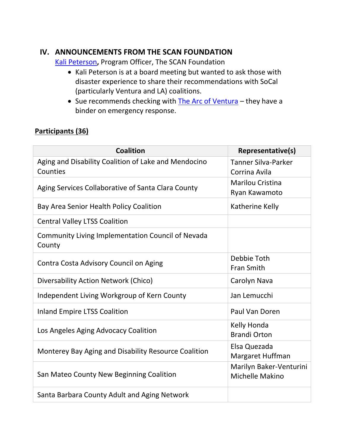### **IV. ANNOUNCEMENTS FROM THE SCAN FOUNDATION**

[Kali Peterson](mailto:KPeterson@thescanfoundation.org)**,** Program Officer, The SCAN Foundation

- Kali Peterson is at a board meeting but wanted to ask those with disaster experience to share their recommendations with SoCal (particularly Ventura and LA) coalitions.
- Sue recommends checking with [The Arc of Ventura](https://thearcvc.org/) they have a binder on emergency response.

### **Participants (36)**

| <b>Coalition</b>                                                   | Representative(s)                           |
|--------------------------------------------------------------------|---------------------------------------------|
| Aging and Disability Coalition of Lake and Mendocino<br>Counties   | <b>Tanner Silva-Parker</b><br>Corrina Avila |
| Aging Services Collaborative of Santa Clara County                 | <b>Marilou Cristina</b><br>Ryan Kawamoto    |
| Bay Area Senior Health Policy Coalition                            | Katherine Kelly                             |
| <b>Central Valley LTSS Coalition</b>                               |                                             |
| <b>Community Living Implementation Council of Nevada</b><br>County |                                             |
| Contra Costa Advisory Council on Aging                             | Debbie Toth<br><b>Fran Smith</b>            |
| Diversability Action Network (Chico)                               | Carolyn Nava                                |
| Independent Living Workgroup of Kern County                        | Jan Lemucchi                                |
| <b>Inland Empire LTSS Coalition</b>                                | Paul Van Doren                              |
| Los Angeles Aging Advocacy Coalition                               | Kelly Honda<br><b>Brandi Orton</b>          |
| Monterey Bay Aging and Disability Resource Coalition               | Elsa Quezada<br>Margaret Huffman            |
| San Mateo County New Beginning Coalition                           | Marilyn Baker-Venturini<br>Michelle Makino  |
| Santa Barbara County Adult and Aging Network                       |                                             |